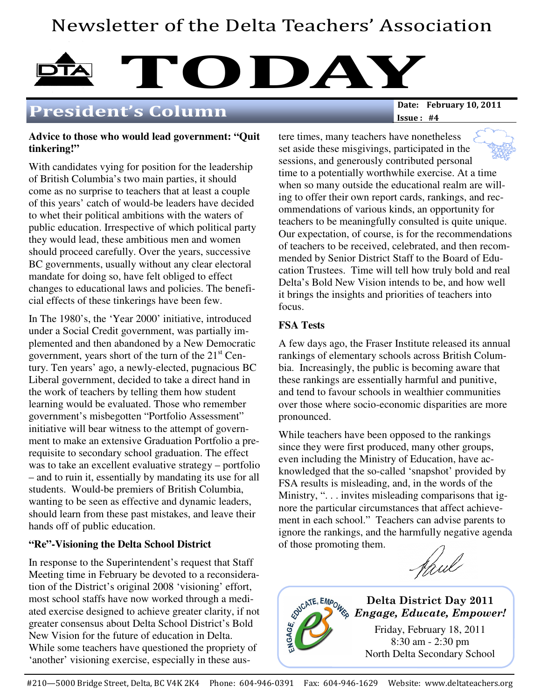# Newsletter of the Delta Teachers' Association



## President's Column

Issue : #4

## **Advice to those who would lead government: "Quit tinkering!"**

With candidates vying for position for the leadership of British Columbia's two main parties, it should come as no surprise to teachers that at least a couple of this years' catch of would-be leaders have decided to whet their political ambitions with the waters of public education. Irrespective of which political party they would lead, these ambitious men and women should proceed carefully. Over the years, successive BC governments, usually without any clear electoral mandate for doing so, have felt obliged to effect changes to educational laws and policies. The beneficial effects of these tinkerings have been few.

In The 1980's, the 'Year 2000' initiative, introduced under a Social Credit government, was partially implemented and then abandoned by a New Democratic government, years short of the turn of the  $21<sup>st</sup>$  Century. Ten years' ago, a newly-elected, pugnacious BC Liberal government, decided to take a direct hand in the work of teachers by telling them how student learning would be evaluated. Those who remember government's misbegotten "Portfolio Assessment" initiative will bear witness to the attempt of government to make an extensive Graduation Portfolio a prerequisite to secondary school graduation. The effect was to take an excellent evaluative strategy – portfolio – and to ruin it, essentially by mandating its use for all students. Would-be premiers of British Columbia, wanting to be seen as effective and dynamic leaders, should learn from these past mistakes, and leave their hands off of public education.

## **"Re"-Visioning the Delta School District**

In response to the Superintendent's request that Staff Meeting time in February be devoted to a reconsideration of the District's original 2008 'visioning' effort, most school staffs have now worked through a mediated exercise designed to achieve greater clarity, if not greater consensus about Delta School District's Bold New Vision for the future of education in Delta. While some teachers have questioned the propriety of 'another' visioning exercise, especially in these austere times, many teachers have nonetheless set aside these misgivings, participated in the sessions, and generously contributed personal time to a potentially worthwhile exercise. At a time when so many outside the educational realm are willing to offer their own report cards, rankings, and recommendations of various kinds, an opportunity for teachers to be meaningfully consulted is quite unique. Our expectation, of course, is for the recommendations of teachers to be received, celebrated, and then recommended by Senior District Staff to the Board of Education Trustees. Time will tell how truly bold and real Delta's Bold New Vision intends to be, and how well it brings the insights and priorities of teachers into focus.

## **FSA Tests**

A few days ago, the Fraser Institute released its annual rankings of elementary schools across British Columbia. Increasingly, the public is becoming aware that these rankings are essentially harmful and punitive, and tend to favour schools in wealthier communities over those where socio-economic disparities are more pronounced.

While teachers have been opposed to the rankings since they were first produced, many other groups, even including the Ministry of Education, have acknowledged that the so-called 'snapshot' provided by FSA results is misleading, and, in the words of the Ministry, ". . . invites misleading comparisons that ignore the particular circumstances that affect achievement in each school." Teachers can advise parents to ignore the rankings, and the harmfully negative agenda of those promoting them.

Haul

Delta District Day 2011 Engage, Educate, Empower! Friday, February 18, 2011 8:30 am - 2:30 pm North Delta Secondary School